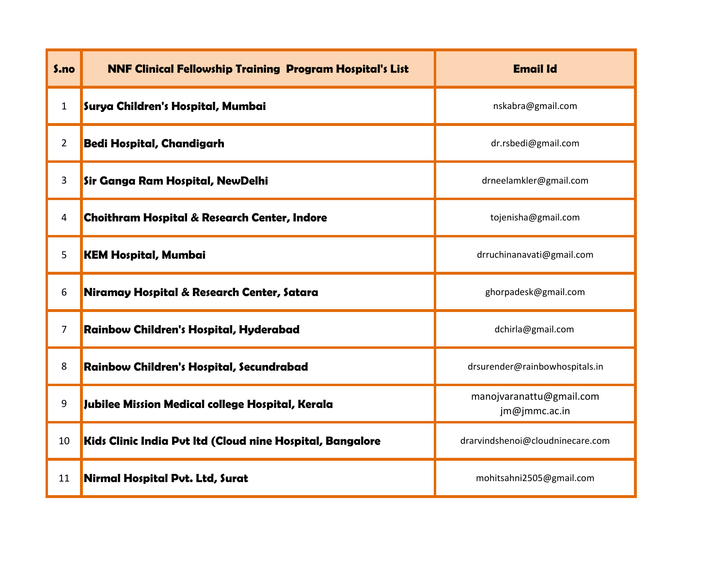| S.no           | <b>NNF Clinical Fellowship Training Program Hospital's List</b> | <b>Email Id</b>                           |
|----------------|-----------------------------------------------------------------|-------------------------------------------|
| $\mathbf{1}$   | Surya Children's Hospital, Mumbai                               | nskabra@gmail.com                         |
| $\overline{2}$ | Bedi Hospital, Chandigarh                                       | dr.rsbedi@gmail.com                       |
| 3              | Sir Ganga Ram Hospital, NewDelhi                                | drneelamkler@gmail.com                    |
| 4              | <b>Choithram Hospital &amp; Research Center, Indore</b>         | tojenisha@gmail.com                       |
| 5              | <b>KEM Hospital, Mumbai</b>                                     | drruchinanavati@gmail.com                 |
| 6              | Niramay Hospital & Research Center, Satara                      | ghorpadesk@gmail.com                      |
| $\overline{7}$ | Rainbow Children's Hospital, Hyderabad                          | dchirla@gmail.com                         |
| 8              | Rainbow Children's Hospital, Secundrabad                        | drsurender@rainbowhospitals.in            |
| 9              | Jubilee Mission Medical college Hospital, Kerala                | manojvaranattu@gmail.com<br>jm@jmmc.ac.in |
| 10             | Kids Clinic India Put Itd (Cloud nine Hospital, Bangalore       | drarvindshenoi@cloudninecare.com          |
| 11             | Nirmal Hospital Put. Ltd, Surat                                 | mohitsahni2505@gmail.com                  |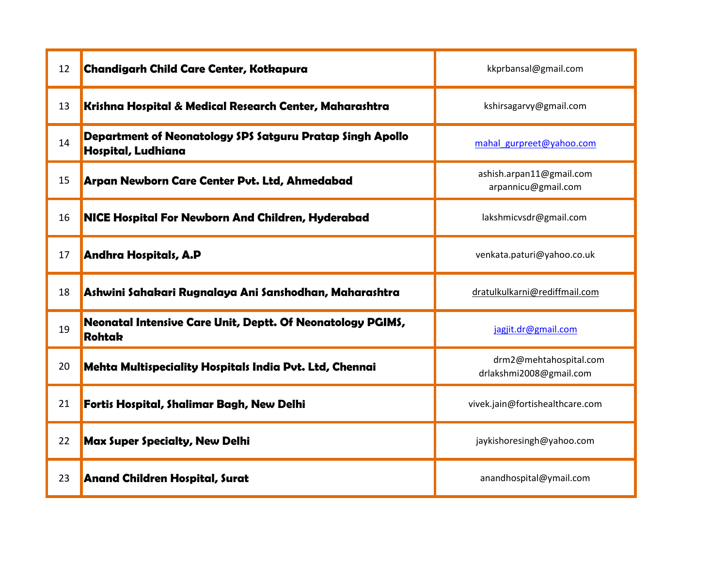| 12 | <b>Chandigarh Child Care Center, Kotkapura</b>                                  | kkprbansal@gmail.com                              |
|----|---------------------------------------------------------------------------------|---------------------------------------------------|
| 13 | Krishna Hospital & Medical Research Center, Maharashtra                         | kshirsagarvy@gmail.com                            |
| 14 | Department of Neonatology SPS Satguru Pratap Singh Apollo<br>Hospital, Ludhiana | mahal gurpreet@yahoo.com                          |
| 15 | Arpan Newborn Care Center Pvt. Ltd, Ahmedabad                                   | ashish.arpan11@gmail.com<br>arpannicu@gmail.com   |
| 16 | <b>NICE Hospital For Newborn And Children, Hyderabad</b>                        | lakshmicvsdr@gmail.com                            |
| 17 | Andhra Hospitals, A.P                                                           | venkata.paturi@yahoo.co.uk                        |
| 18 | Ashwini Sahakari Rugnalaya Ani Sanshodhan, Maharashtra                          | dratulkulkarni@rediffmail.com                     |
| 19 | Neonatal Intensive Care Unit, Deptt. Of Neonatology PGIMS,<br><b>Rohtak</b>     | jagjit.dr@gmail.com                               |
| 20 | Mehta Multispeciality Hospitals India Put. Ltd, Chennai                         | drm2@mehtahospital.com<br>drlakshmi2008@gmail.com |
| 21 | Fortis Hospital, Shalimar Bagh, New Delhi                                       | vivek.jain@fortishealthcare.com                   |
| 22 | <b>Max Super Specialty, New Delhi</b>                                           | jaykishoresingh@yahoo.com                         |
| 23 | <b>Anand Children Hospital, Surat</b>                                           | anandhospital@ymail.com                           |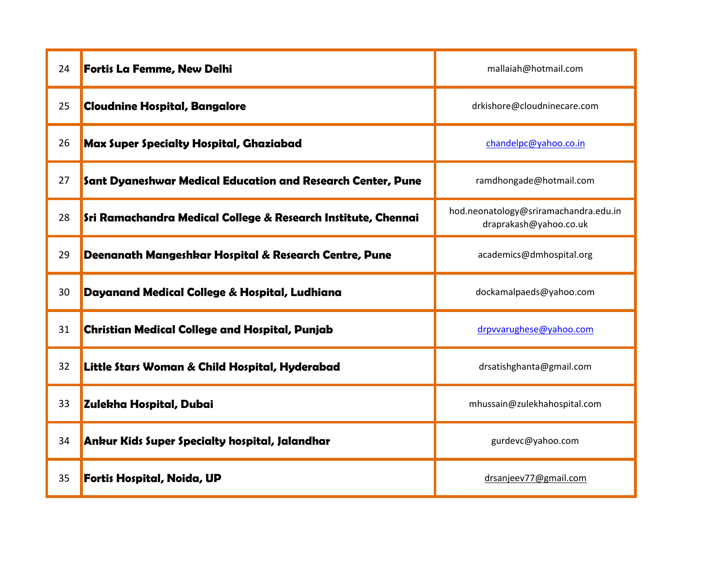| 24 | <b>Fortis La Femme, New Delhi</b>                             | mallaiah@hotmail.com                                            |
|----|---------------------------------------------------------------|-----------------------------------------------------------------|
| 25 | <b>Cloudnine Hospital, Bangalore</b>                          | drkishore@cloudninecare.com                                     |
| 26 | <b>Max Super Specialty Hospital, Ghaziabad</b>                | chandelpc@yahoo.co.in                                           |
| 27 | Sant Dyaneshwar Medical Education and Research Center, Pune   | ramdhongade@hotmail.com                                         |
| 28 | Sri Ramachandra Medical College & Research Institute, Chennai | hod.neonatology@sriramachandra.edu.in<br>draprakash@yahoo.co.uk |
| 29 | Deenanath Mangeshkar Hospital & Research Centre, Pune         | academics@dmhospital.org                                        |
| 30 | Dayanand Medical College & Hospital, Ludhiana                 | dockamalpaeds@yahoo.com                                         |
| 31 | <b>Christian Medical College and Hospital, Punjab</b>         | drpvvarughese@yahoo.com                                         |
| 32 | Little Stars Woman & Child Hospital, Hyderabad                | drsatishghanta@gmail.com                                        |
| 33 | Zulekha Hospital, Dubai                                       | mhussain@zulekhahospital.com                                    |
| 34 | Ankur Kids Super Specialty hospital, Jalandhar                | gurdevc@yahoo.com                                               |
| 35 | Fortis Hospital, Noida, UP                                    | drsanjeev77@gmail.com                                           |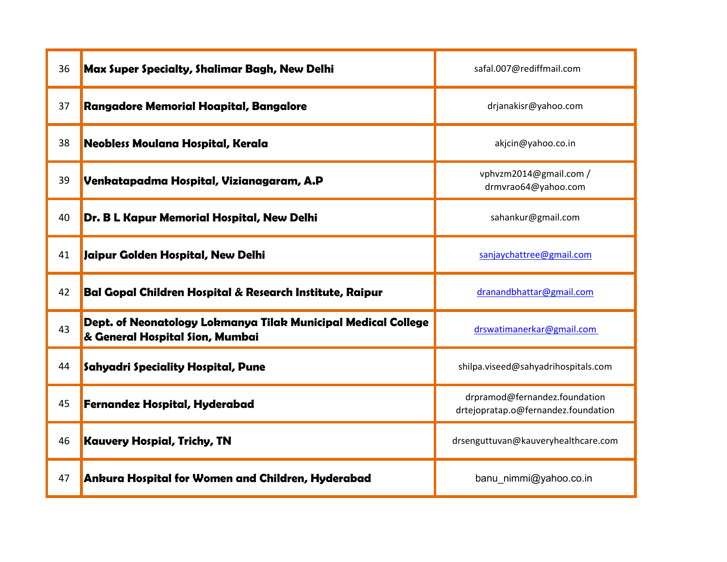| 36 | Max Super Specialty, Shalimar Bagh, New Delhi                                                    | safal.007@rediffmail.com                                             |
|----|--------------------------------------------------------------------------------------------------|----------------------------------------------------------------------|
| 37 | Rangadore Memorial Hoapital, Bangalore                                                           | drjanakisr@yahoo.com                                                 |
| 38 | Neobless Moulana Hospital, Kerala                                                                | akjcin@yahoo.co.in                                                   |
| 39 | Venkatapadma Hospital, Vizianagaram, A.P                                                         | vphvzm2014@gmail.com /<br>drmvrao64@yahoo.com                        |
| 40 | Dr. B L Kapur Memorial Hospital, New Delhi                                                       | sahankur@gmail.com                                                   |
| 41 | Jaipur Golden Hospital, New Delhi                                                                | sanjaychattree@gmail.com                                             |
| 42 | Bal Gopal Children Hospital & Research Institute, Raipur                                         | dranandbhattar@gmail.com                                             |
| 43 | Dept. of Neonatology Lokmanya Tilak Municipal Medical College<br>& General Hospital Sion, Mumbai | drswatimanerkar@gmail.com                                            |
| 44 | <b>Sahyadri Speciality Hospital, Pune</b>                                                        | shilpa.viseed@sahyadrihospitals.com                                  |
| 45 | <b>Fernandez Hospital, Hyderabad</b>                                                             | drpramod@fernandez.foundation<br>drtejopratap.o@fernandez.foundation |
| 46 | <b>Kauvery Hospial, Trichy, TN</b>                                                               | drsenguttuvan@kauveryhealthcare.com                                  |
| 47 | Ankura Hospital for Women and Children, Hyderabad                                                | banu nimmi@yahoo.co.in                                               |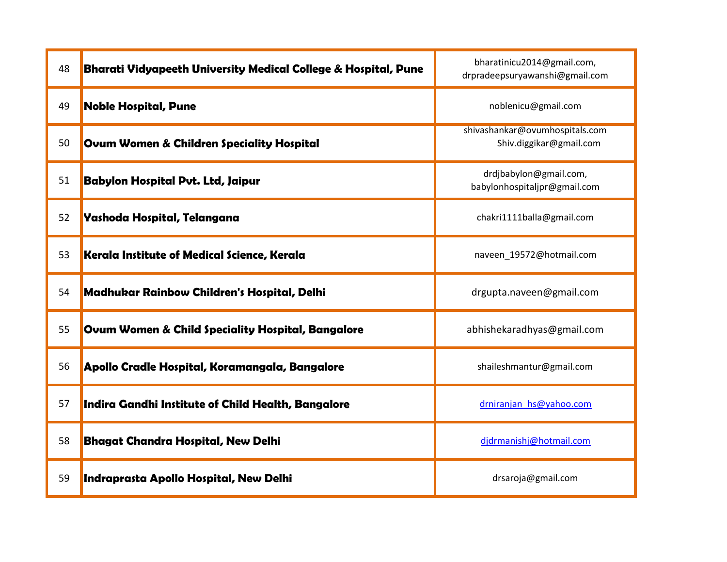| 48 | Bharati Vidyapeeth University Medical College & Hospital, Pune | bharatinicu2014@gmail.com,<br>drpradeepsuryawanshi@gmail.com |
|----|----------------------------------------------------------------|--------------------------------------------------------------|
| 49 | <b>Noble Hospital, Pune</b>                                    | noblenicu@gmail.com                                          |
| 50 | <b>Ovum Women &amp; Children Speciality Hospital</b>           | shivashankar@ovumhospitals.com<br>Shiv.diggikar@gmail.com    |
| 51 | <b>Babylon Hospital Put. Ltd, Jaipur</b>                       | drdjbabylon@gmail.com,<br>babylonhospitaljpr@gmail.com       |
| 52 | Yashoda Hospital, Telangana                                    | chakri1111balla@gmail.com                                    |
| 53 | Kerala Institute of Medical Science, Kerala                    | naveen 19572@hotmail.com                                     |
| 54 | Madhukar Rainbow Children's Hospital, Delhi                    | drgupta.naveen@gmail.com                                     |
| 55 | Ovum Women & Child Speciality Hospital, Bangalore              | abhishekaradhyas@gmail.com                                   |
| 56 | Apollo Cradle Hospital, Koramangala, Bangalore                 | shaileshmantur@gmail.com                                     |
| 57 | Indira Gandhi Institute of Child Health, Bangalore             | drniranjan hs@yahoo.com                                      |
| 58 | <b>Bhagat Chandra Hospital, New Delhi</b>                      | djdrmanishj@hotmail.com                                      |
| 59 | Indraprasta Apollo Hospital, New Delhi                         | drsaroja@gmail.com                                           |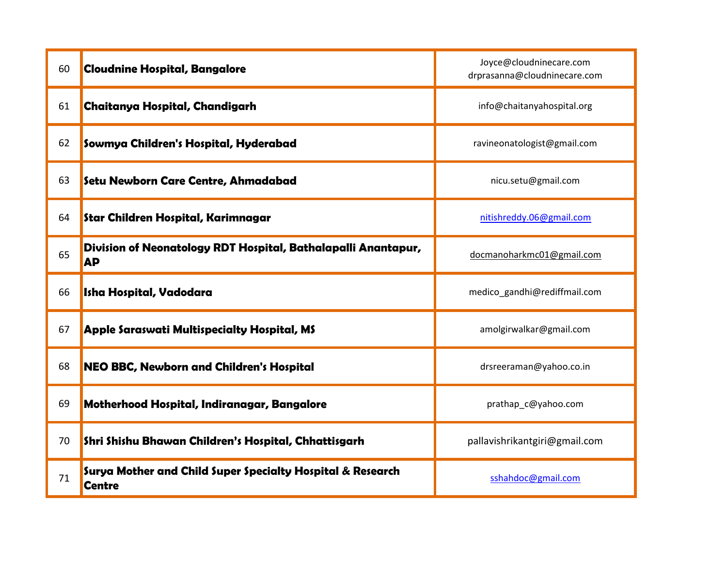| 60 | <b>Cloudnine Hospital, Bangalore</b>                                        | Joyce@cloudninecare.com<br>drprasanna@cloudninecare.com |
|----|-----------------------------------------------------------------------------|---------------------------------------------------------|
| 61 | Chaitanya Hospital, Chandigarh                                              | info@chaitanyahospital.org                              |
| 62 | Sowmya Children's Hospital, Hyderabad                                       | ravineonatologist@gmail.com                             |
| 63 | Setu Newborn Care Centre, Ahmadabad                                         | nicu.setu@gmail.com                                     |
| 64 | Star Children Hospital, Karimnagar                                          | nitishreddy.06@gmail.com                                |
| 65 | Division of Neonatology RDT Hospital, Bathalapalli Anantapur,<br><b>AP</b>  | docmanoharkmc01@gmail.com                               |
| 66 | <b>Isha Hospital, Vadodara</b>                                              | medico_gandhi@rediffmail.com                            |
| 67 | Apple Saraswati Multispecialty Hospital, MS                                 | amolgirwalkar@gmail.com                                 |
| 68 | <b>NEO BBC, Newborn and Children's Hospital</b>                             | drsreeraman@yahoo.co.in                                 |
| 69 | Motherhood Hospital, Indiranagar, Bangalore                                 | prathap_c@yahoo.com                                     |
| 70 | Shri Shishu Bhawan Children's Hospital, Chhattisgarh                        | pallavishrikantgiri@gmail.com                           |
| 71 | Surya Mother and Child Super Specialty Hospital & Research<br><b>Centre</b> | sshahdoc@gmail.com                                      |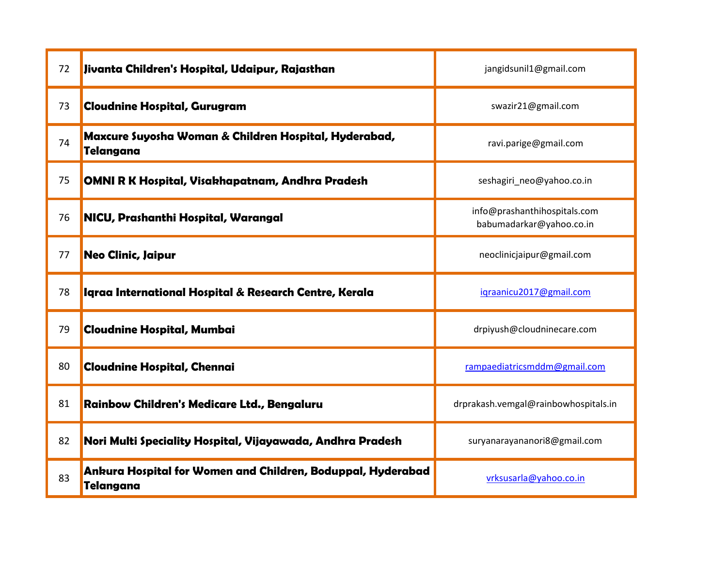| 72 | Jivanta Children's Hospital, Udaipur, Rajasthan                          | jangidsunil1@gmail.com                                   |
|----|--------------------------------------------------------------------------|----------------------------------------------------------|
| 73 | <b>Cloudnine Hospital, Gurugram</b>                                      | swazir21@gmail.com                                       |
| 74 | Maxcure Suyosha Woman & Children Hospital, Hyderabad,<br>Telangana       | ravi.parige@gmail.com                                    |
| 75 | OMNI R K Hospital, Visakhapatnam, Andhra Pradesh                         | seshagiri neo@yahoo.co.in                                |
| 76 | NICU, Prashanthi Hospital, Warangal                                      | info@prashanthihospitals.com<br>babumadarkar@yahoo.co.in |
| 77 | Neo Clinic, Jaipur                                                       | neoclinicjaipur@gmail.com                                |
| 78 | Igraa International Hospital & Research Centre, Kerala                   | igraanicu2017@gmail.com                                  |
| 79 | <b>Cloudnine Hospital, Mumbai</b>                                        | drpiyush@cloudninecare.com                               |
| 80 | <b>Cloudnine Hospital, Chennai</b>                                       | rampaediatricsmddm@gmail.com                             |
| 81 | Rainbow Children's Medicare Ltd., Bengaluru                              | drprakash.vemgal@rainbowhospitals.in                     |
| 82 | Nori Multi Speciality Hospital, Vijayawada, Andhra Pradesh               | suryanarayananori8@gmail.com                             |
| 83 | Ankura Hospital for Women and Children, Boduppal, Hyderabad<br>Telangana | vrksusarla@yahoo.co.in                                   |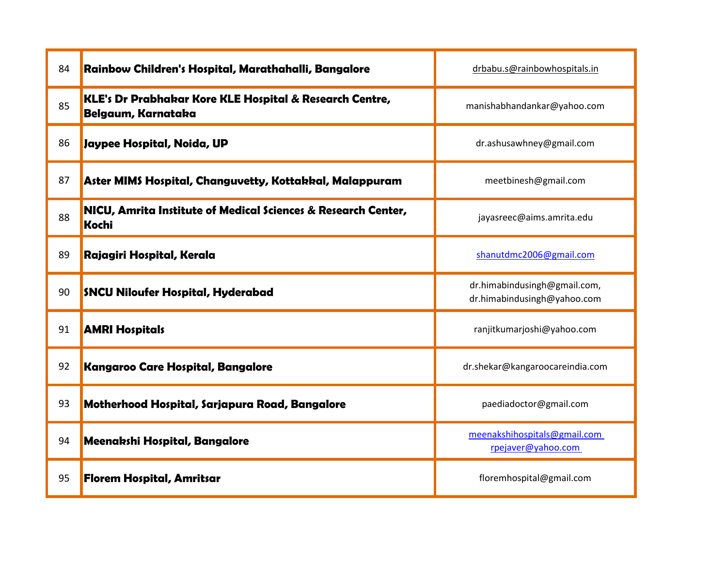| 84 | Rainbow Children's Hospital, Marathahalli, Bangalore                          | drbabu.s@rainbowhospitals.in                                |
|----|-------------------------------------------------------------------------------|-------------------------------------------------------------|
| 85 | KLE's Dr Prabhakar Kore KLE Hospital & Research Centre,<br>Belgaum, Karnataka | manishabhandankar@yahoo.com                                 |
| 86 | Jaypee Hospital, Noida, UP                                                    | dr.ashusawhney@gmail.com                                    |
| 87 | Aster MIMS Hospital, Changuvetty, Kottakkal, Malappuram                       | meetbinesh@gmail.com                                        |
| 88 | NICU, Amrita Institute of Medical Sciences & Research Center,<br>Kochi        | jayasreec@aims.amrita.edu                                   |
| 89 | Rajagiri Hospital, Kerala                                                     | shanutdmc2006@gmail.com                                     |
| 90 | SNCU Niloufer Hospital, Hyderabad                                             | dr.himabindusingh@gmail.com,<br>dr.himabindusingh@yahoo.com |
| 91 | <b>AMRI Hospitals</b>                                                         | ranjitkumarjoshi@yahoo.com                                  |
| 92 | Kangaroo Care Hospital, Bangalore                                             | dr.shekar@kangaroocareindia.com                             |
| 93 | Motherhood Hospital, Sarjapura Road, Bangalore                                | paediadoctor@gmail.com                                      |
| 94 | Meenakshi Hospital, Bangalore                                                 | meenakshihospitals@gmail.com<br>rpejaver@yahoo.com          |
| 95 | <b>Florem Hospital, Amritsar</b>                                              | floremhospital@gmail.com                                    |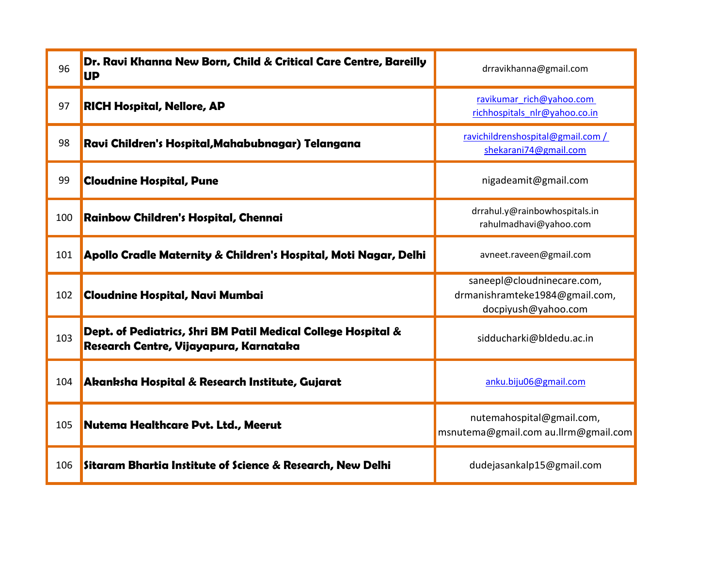| 96  | Dr. Ravi Khanna New Born, Child & Critical Care Centre, Bareilly<br><b>UP</b>                           | drravikhanna@gmail.com                                                              |
|-----|---------------------------------------------------------------------------------------------------------|-------------------------------------------------------------------------------------|
| 97  | <b>RICH Hospital, Nellore, AP</b>                                                                       | ravikumar rich@yahoo.com<br>richhospitals nlr@yahoo.co.in                           |
| 98  | Ravi Children's Hospital, Mahabubnagar) Telangana                                                       | ravichildrenshospital@gmail.com /<br>shekarani74@gmail.com                          |
| 99  | <b>Cloudnine Hospital, Pune</b>                                                                         | nigadeamit@gmail.com                                                                |
| 100 | Rainbow Children's Hospital, Chennai                                                                    | drrahul.y@rainbowhospitals.in<br>rahulmadhavi@yahoo.com                             |
| 101 | Apollo Cradle Maternity & Children's Hospital, Moti Nagar, Delhi                                        | avneet.raveen@gmail.com                                                             |
| 102 | <b>Cloudnine Hospital, Navi Mumbai</b>                                                                  | saneepl@cloudninecare.com,<br>drmanishramteke1984@gmail.com,<br>docpiyush@yahoo.com |
| 103 | Dept. of Pediatrics, Shri BM Patil Medical College Hospital &<br>Research Centre, Vijayapura, Karnataka | sidducharki@bldedu.ac.in                                                            |
| 104 | Akanksha Hospital & Research Institute, Gujarat                                                         | anku.biju06@gmail.com                                                               |
| 105 | Nutema Healthcare Pvt. Ltd., Meerut                                                                     | nutemahospital@gmail.com,<br>msnutema@gmail.com au.llrm@gmail.com                   |
| 106 | Sitaram Bhartia Institute of Science & Research, New Delhi                                              | dudejasankalp15@gmail.com                                                           |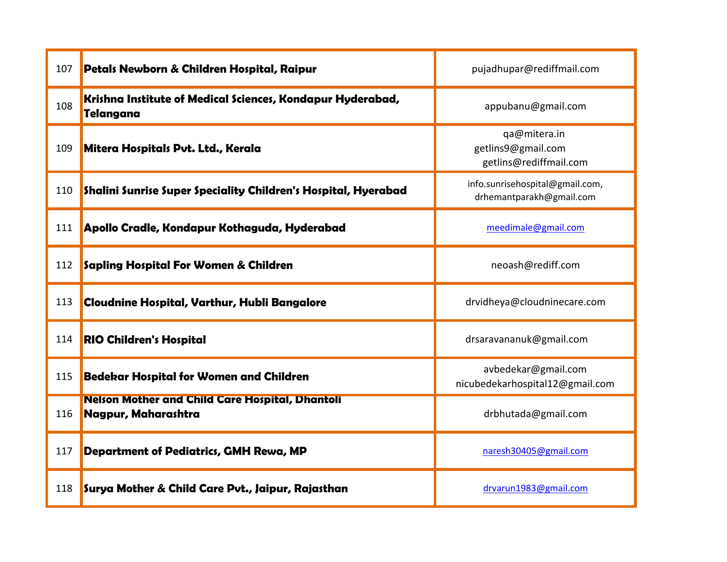| 107 | Petals Newborn & Children Hospital, Raipur                                     | pujadhupar@rediffmail.com                                    |
|-----|--------------------------------------------------------------------------------|--------------------------------------------------------------|
| 108 | Krishna Institute of Medical Sciences, Kondapur Hyderabad,<br><b>Telangana</b> | appubanu@gmail.com                                           |
| 109 | Mitera Hospitals Put. Ltd., Kerala                                             | qa@mitera.in<br>getlins9@gmail.com<br>getlins@rediffmail.com |
| 110 | Shalini Sunrise Super Speciality Children's Hospital, Hyerabad                 | info.sunrisehospital@gmail.com,<br>drhemantparakh@gmail.com  |
| 111 | Apollo Cradle, Kondapur Kothaguda, Hyderabad                                   | meedimale@gmail.com                                          |
| 112 | Sapling Hospital For Women & Children                                          | neoash@rediff.com                                            |
| 113 | Cloudnine Hospital, Varthur, Hubli Bangalore                                   | drvidheya@cloudninecare.com                                  |
| 114 | <b>RIO Children's Hospital</b>                                                 | drsaravananuk@gmail.com                                      |
| 115 | <b>Bedekar Hospital for Women and Children</b>                                 | avbedekar@gmail.com<br>nicubedekarhospital12@gmail.com       |
| 116 | <b>Nelson Mother and Child Care Hospital, Dhantoli</b><br>Nagpur, Maharashtra  | drbhutada@gmail.com                                          |
| 117 | <b>Department of Pediatrics, GMH Rewa, MP</b>                                  | naresh30405@gmail.com                                        |
| 118 | Surya Mother & Child Care Pvt., Jaipur, Rajasthan                              | drvarun1983@gmail.com                                        |